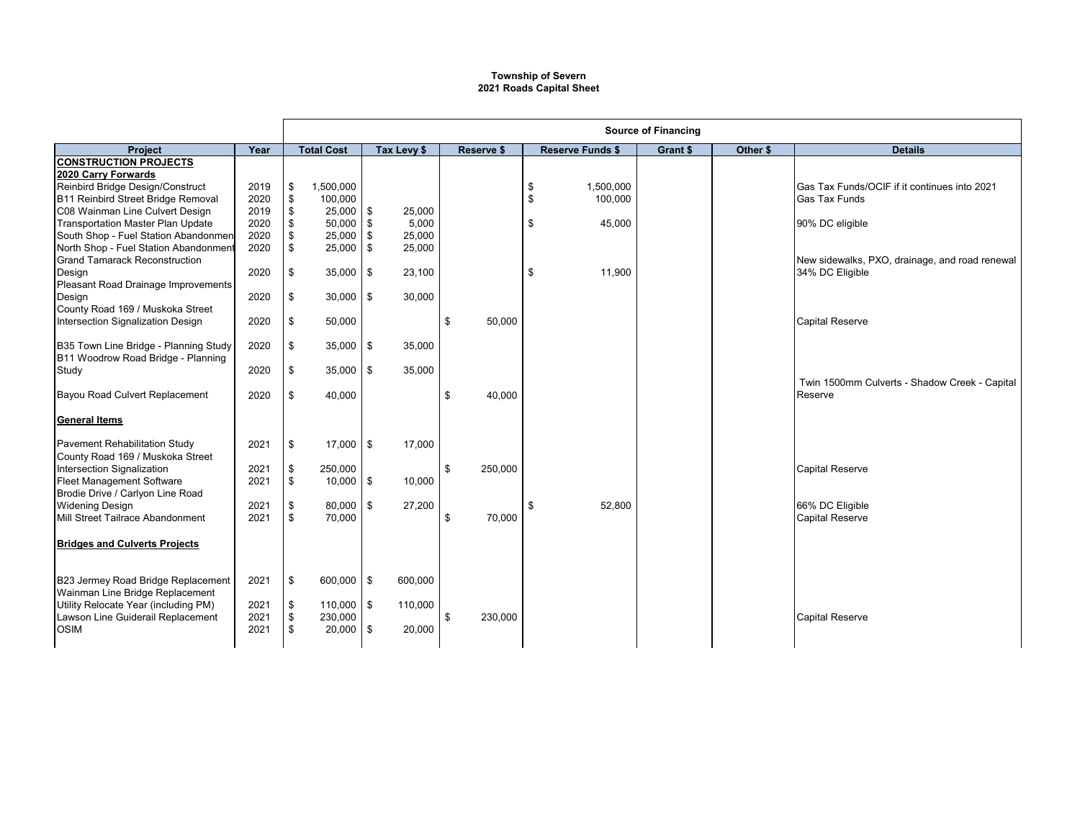## **Township of Severn 2021 Roads Capital Sheet**

|                                          |      | <b>Source of Financing</b> |               |            |             |                   |         |    |                         |          |          |                                                |  |
|------------------------------------------|------|----------------------------|---------------|------------|-------------|-------------------|---------|----|-------------------------|----------|----------|------------------------------------------------|--|
| <b>Project</b>                           | Year | <b>Total Cost</b>          |               |            | Tax Levy \$ | <b>Reserve \$</b> |         |    | <b>Reserve Funds \$</b> | Grant \$ | Other \$ | <b>Details</b>                                 |  |
| <b>CONSTRUCTION PROJECTS</b>             |      |                            |               |            |             |                   |         |    |                         |          |          |                                                |  |
| 2020 Carry Forwards                      |      |                            |               |            |             |                   |         |    |                         |          |          |                                                |  |
| Reinbird Bridge Design/Construct         | 2019 | \$                         | 1,500,000     |            |             |                   |         | \$ | 1,500,000               |          |          | Gas Tax Funds/OCIF if it continues into 2021   |  |
| B11 Reinbird Street Bridge Removal       | 2020 | \$                         | 100,000       |            |             |                   |         | \$ | 100,000                 |          |          | <b>Gas Tax Funds</b>                           |  |
| C08 Wainman Line Culvert Design          | 2019 | \$                         | $25,000$ \$   |            | 25,000      |                   |         |    |                         |          |          |                                                |  |
| <b>Transportation Master Plan Update</b> | 2020 | \$                         | $50,000$ \$   |            | 5,000       |                   |         | \$ | 45,000                  |          |          | 90% DC eligible                                |  |
| South Shop - Fuel Station Abandonmen     | 2020 | \$                         | $25,000$ \$   |            | 25,000      |                   |         |    |                         |          |          |                                                |  |
| North Shop - Fuel Station Abandonment    | 2020 | \$                         | $25,000$ \$   |            | 25,000      |                   |         |    |                         |          |          |                                                |  |
| <b>Grand Tamarack Reconstruction</b>     |      |                            |               |            |             |                   |         |    |                         |          |          | New sidewalks, PXO, drainage, and road renewal |  |
| Design                                   | 2020 | \$                         | 35,000        | $\sqrt{3}$ | 23,100      |                   |         | \$ | 11.900                  |          |          | 34% DC Eligible                                |  |
| Pleasant Road Drainage Improvements      |      |                            |               |            |             |                   |         |    |                         |          |          |                                                |  |
| Design                                   | 2020 | \$                         | $30,000$ \$   |            | 30,000      |                   |         |    |                         |          |          |                                                |  |
| County Road 169 / Muskoka Street         |      |                            |               |            |             |                   |         |    |                         |          |          |                                                |  |
| Intersection Signalization Design        | 2020 | \$                         | 50,000        |            |             | \$                | 50,000  |    |                         |          |          | <b>Capital Reserve</b>                         |  |
|                                          |      |                            |               |            |             |                   |         |    |                         |          |          |                                                |  |
| B35 Town Line Bridge - Planning Study    | 2020 | \$                         | $35,000$ \$   |            | 35,000      |                   |         |    |                         |          |          |                                                |  |
| B11 Woodrow Road Bridge - Planning       |      |                            |               |            |             |                   |         |    |                         |          |          |                                                |  |
| Study                                    | 2020 | \$                         | $35,000$ \$   |            | 35,000      |                   |         |    |                         |          |          |                                                |  |
|                                          |      |                            |               |            |             |                   |         |    |                         |          |          | Twin 1500mm Culverts - Shadow Creek - Capital  |  |
| Bayou Road Culvert Replacement           | 2020 | \$                         | 40,000        |            |             | \$                | 40,000  |    |                         |          |          | Reserve                                        |  |
|                                          |      |                            |               |            |             |                   |         |    |                         |          |          |                                                |  |
| <b>General Items</b>                     |      |                            |               |            |             |                   |         |    |                         |          |          |                                                |  |
|                                          |      |                            |               |            |             |                   |         |    |                         |          |          |                                                |  |
| <b>Pavement Rehabilitation Study</b>     | 2021 | \$                         | $17,000$ \$   |            | 17,000      |                   |         |    |                         |          |          |                                                |  |
| County Road 169 / Muskoka Street         |      |                            |               |            |             |                   |         |    |                         |          |          |                                                |  |
| Intersection Signalization               | 2021 | \$                         | 250,000       |            |             | \$                | 250,000 |    |                         |          |          | <b>Capital Reserve</b>                         |  |
| <b>Fleet Management Software</b>         | 2021 | \$                         | $10,000$ \$   |            | 10,000      |                   |         |    |                         |          |          |                                                |  |
| Brodie Drive / Carlyon Line Road         |      |                            |               |            |             |                   |         |    |                         |          |          |                                                |  |
| <b>Widening Design</b>                   | 2021 | \$                         | $80.000$ \ \$ |            | 27,200      |                   |         | \$ | 52.800                  |          |          | 66% DC Eligible                                |  |
| Mill Street Tailrace Abandonment         | 2021 | \$                         | 70,000        |            |             | \$                | 70,000  |    |                         |          |          | <b>Capital Reserve</b>                         |  |
|                                          |      |                            |               |            |             |                   |         |    |                         |          |          |                                                |  |
| <b>Bridges and Culverts Projects</b>     |      |                            |               |            |             |                   |         |    |                         |          |          |                                                |  |
|                                          |      |                            |               |            |             |                   |         |    |                         |          |          |                                                |  |
|                                          |      |                            |               |            |             |                   |         |    |                         |          |          |                                                |  |
| B23 Jermey Road Bridge Replacement       | 2021 | \$                         | 600,000 \$    |            | 600,000     |                   |         |    |                         |          |          |                                                |  |
| Wainman Line Bridge Replacement          |      |                            |               |            |             |                   |         |    |                         |          |          |                                                |  |
| Utility Relocate Year (including PM)     | 2021 | \$                         | $110,000$ \$  |            | 110,000     |                   |         |    |                         |          |          |                                                |  |
| Lawson Line Guiderail Replacement        | 2021 | \$                         | 230,000       |            |             | \$                | 230,000 |    |                         |          |          | <b>Capital Reserve</b>                         |  |
| <b>OSIM</b>                              | 2021 | \$                         | $20,000$ \$   |            | 20,000      |                   |         |    |                         |          |          |                                                |  |
|                                          |      |                            |               |            |             |                   |         |    |                         |          |          |                                                |  |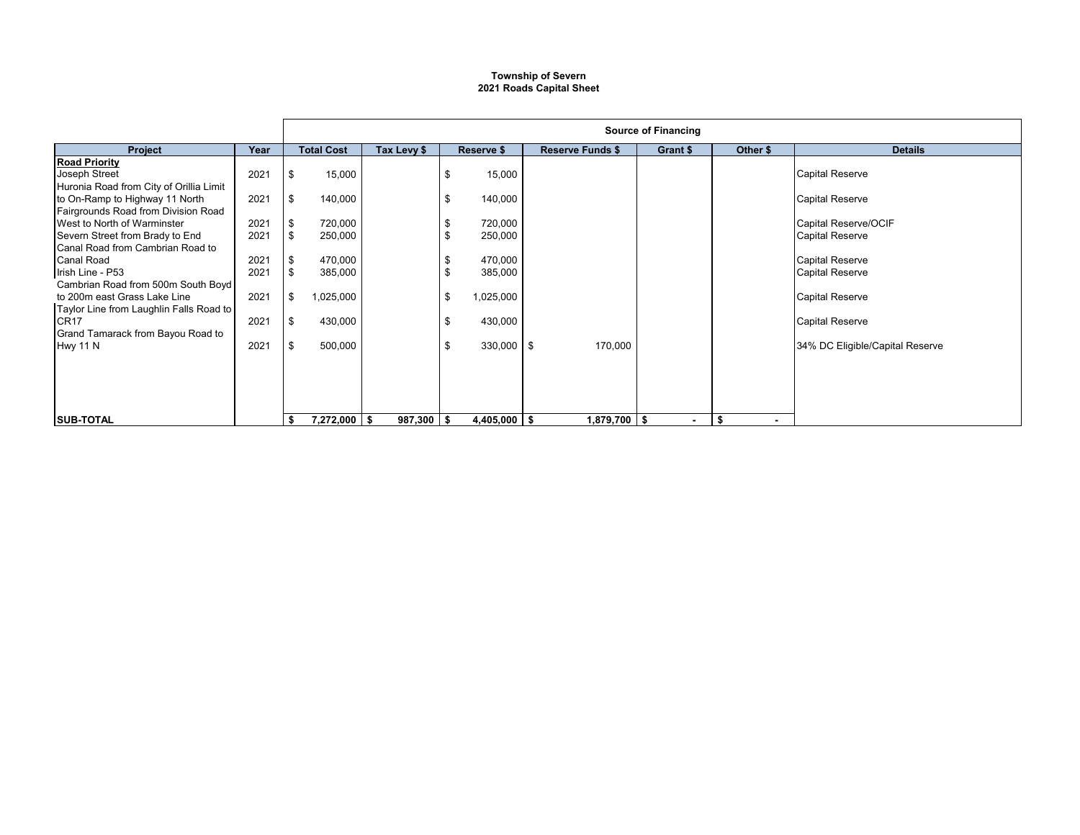## **Township of Severn 2021 Roads Capital Sheet**

|                                         |      | <b>Source of Financing</b> |                   |             |    |                |                         |  |                |          |                |                                 |
|-----------------------------------------|------|----------------------------|-------------------|-------------|----|----------------|-------------------------|--|----------------|----------|----------------|---------------------------------|
| <b>Project</b>                          | Year |                            | <b>Total Cost</b> | Tax Levy \$ |    | Reserve \$     | <b>Reserve Funds \$</b> |  | Grant \$       | Other \$ |                | <b>Details</b>                  |
| <b>Road Priority</b>                    |      |                            |                   |             |    |                |                         |  |                |          |                |                                 |
| Joseph Street                           | 2021 | \$                         | 15,000            |             | \$ | 15,000         |                         |  |                |          |                | <b>Capital Reserve</b>          |
| Huronia Road from City of Orillia Limit |      |                            |                   |             |    |                |                         |  |                |          |                |                                 |
| to On-Ramp to Highway 11 North          | 2021 | \$                         | 140,000           |             | \$ | 140,000        |                         |  |                |          |                | <b>Capital Reserve</b>          |
| Fairgrounds Road from Division Road     |      |                            |                   |             |    |                |                         |  |                |          |                |                                 |
| West to North of Warminster             | 2021 | \$                         | 720,000           |             |    | 720,000        |                         |  |                |          |                | Capital Reserve/OCIF            |
| Severn Street from Brady to End         | 2021 | \$                         | 250,000           |             | \$ | 250,000        |                         |  |                |          |                | <b>Capital Reserve</b>          |
| <b>Canal Road from Cambrian Road to</b> |      |                            |                   |             |    |                |                         |  |                |          |                |                                 |
| <b>Canal Road</b>                       | 2021 | \$                         | 470,000           |             |    | 470,000        |                         |  |                |          |                | <b>Capital Reserve</b>          |
| Irish Line - P53                        | 2021 | \$                         | 385,000           |             | \$ | 385,000        |                         |  |                |          |                | <b>Capital Reserve</b>          |
| Cambrian Road from 500m South Boyd      |      |                            |                   |             |    |                |                         |  |                |          |                |                                 |
| to 200m east Grass Lake Line            | 2021 | \$                         | 1,025,000         |             | \$ | 1,025,000      |                         |  |                |          |                | <b>Capital Reserve</b>          |
| Taylor Line from Laughlin Falls Road to |      |                            |                   |             |    |                |                         |  |                |          |                |                                 |
| <b>CR17</b>                             | 2021 | \$                         | 430,000           |             | \$ | 430,000        |                         |  |                |          |                | <b>Capital Reserve</b>          |
| Grand Tamarack from Bayou Road to       |      |                            |                   |             |    |                |                         |  |                |          |                |                                 |
| <b>Hwy 11 N</b>                         | 2021 | \$                         | 500,000           |             | \$ | 330,000 \$     | 170,000                 |  |                |          |                | 34% DC Eligible/Capital Reserve |
|                                         |      |                            |                   |             |    |                |                         |  |                |          |                |                                 |
|                                         |      |                            |                   |             |    |                |                         |  |                |          |                |                                 |
|                                         |      |                            |                   |             |    |                |                         |  |                |          |                |                                 |
|                                         |      |                            |                   |             |    |                |                         |  |                |          |                |                                 |
|                                         |      |                            |                   |             |    |                |                         |  |                |          |                |                                 |
| <b>SUB-TOTAL</b>                        |      | \$                         | $7,272,000$ \$    | 987,300 \$  |    | $4,405,000$ \$ | $1,879,700$ \$          |  | $\blacksquare$ | S.       | $\blacksquare$ |                                 |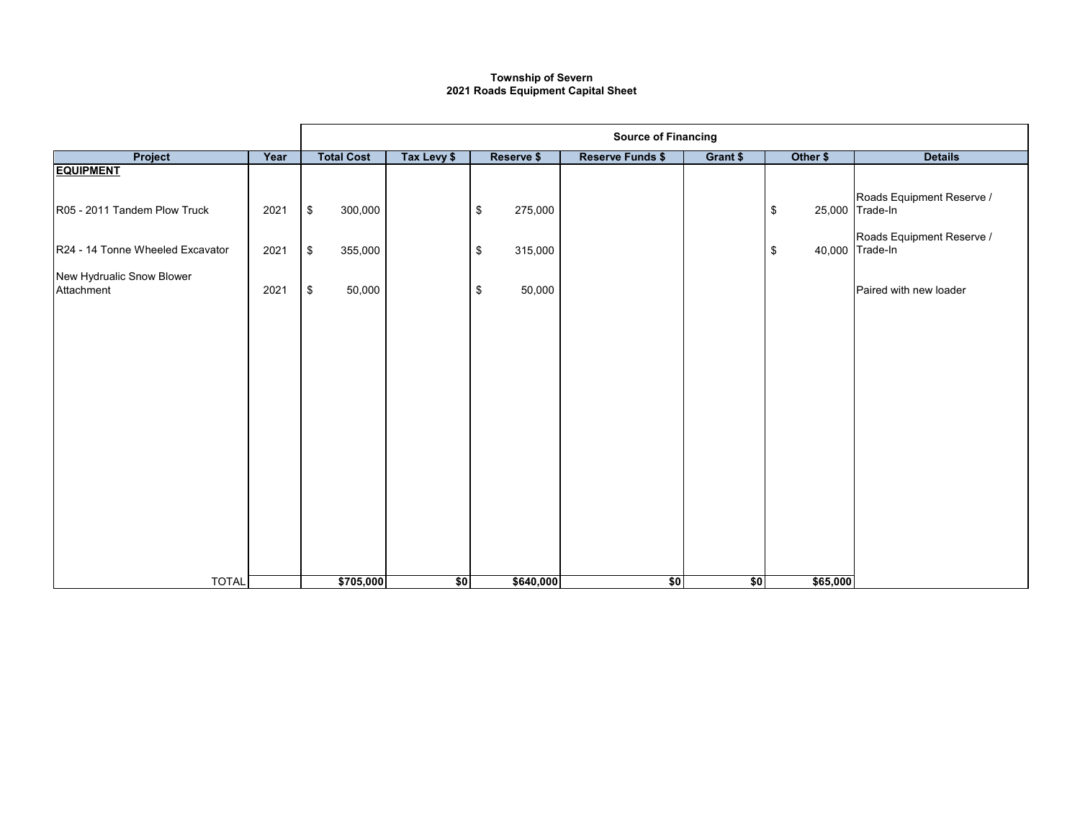## **2021 Roads Equipment Capital Sheet Township of Severn**

|                                         |      | <b>Source of Financing</b> |             |                          |                         |          |                      |                                              |  |  |  |  |
|-----------------------------------------|------|----------------------------|-------------|--------------------------|-------------------------|----------|----------------------|----------------------------------------------|--|--|--|--|
| Project                                 | Year | <b>Total Cost</b>          | Tax Levy \$ | Reserve \$               | <b>Reserve Funds \$</b> | Grant \$ | Other \$             | <b>Details</b>                               |  |  |  |  |
| <b>EQUIPMENT</b>                        |      |                            |             |                          |                         |          |                      | Roads Equipment Reserve /                    |  |  |  |  |
| R05 - 2011 Tandem Plow Truck            | 2021 | \$<br>300,000              |             | $\,$<br>275,000          |                         |          | \$                   | 25,000 Trade-In<br>Roads Equipment Reserve / |  |  |  |  |
| R24 - 14 Tonne Wheeled Excavator        | 2021 | \$<br>355,000              |             | $\sqrt[6]{3}$<br>315,000 |                         |          | $\pmb{\mathfrak{s}}$ | 40,000 Trade-In                              |  |  |  |  |
| New Hydrualic Snow Blower<br>Attachment | 2021 | \$<br>50,000               |             | 50,000<br>\$             |                         |          |                      | Paired with new loader                       |  |  |  |  |
|                                         |      |                            |             |                          |                         |          |                      |                                              |  |  |  |  |
|                                         |      |                            |             |                          |                         |          |                      |                                              |  |  |  |  |
|                                         |      |                            |             |                          |                         |          |                      |                                              |  |  |  |  |
|                                         |      |                            |             |                          |                         |          |                      |                                              |  |  |  |  |
|                                         |      |                            |             |                          |                         |          |                      |                                              |  |  |  |  |
|                                         |      |                            |             |                          |                         |          |                      |                                              |  |  |  |  |
|                                         |      |                            |             |                          |                         |          |                      |                                              |  |  |  |  |
| <b>TOTAL</b>                            |      | \$705,000                  | \$0         | \$640,000                | \$0                     | \$0      | \$65,000             |                                              |  |  |  |  |